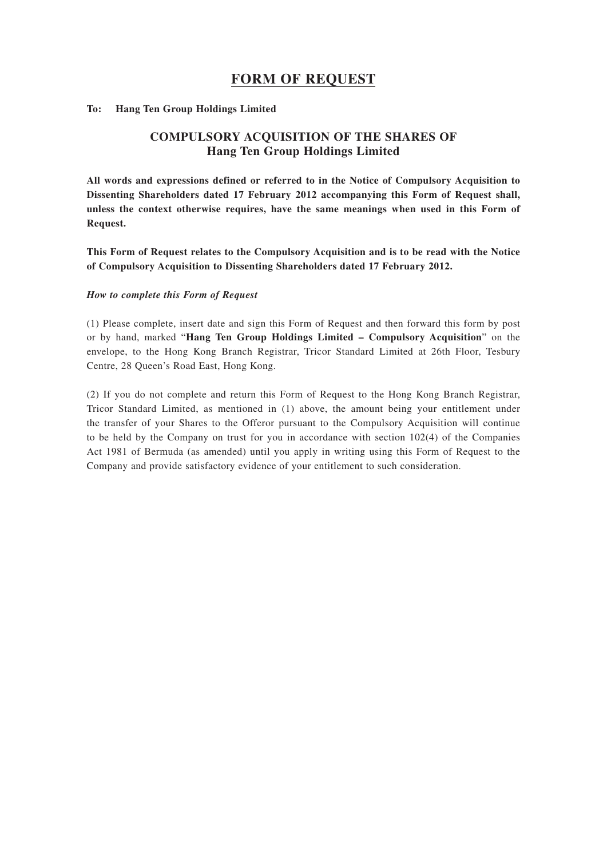## **FORM OF REQUEST**

#### **To: Hang Ten Group Holdings Limited**

### **COMPULSORY ACQUISITION OF THE SHARES OF Hang Ten Group Holdings Limited**

**All words and expressions defined or referred to in the Notice of Compulsory Acquisition to Dissenting Shareholders dated 17 February 2012 accompanying this Form of Request shall, unless the context otherwise requires, have the same meanings when used in this Form of Request.**

**This Form of Request relates to the Compulsory Acquisition and is to be read with the Notice of Compulsory Acquisition to Dissenting Shareholders dated 17 February 2012.**

#### *How to complete this Form of Request*

(1) Please complete, insert date and sign this Form of Request and then forward this form by post or by hand, marked "**Hang Ten Group Holdings Limited – Compulsory Acquisition**" on the envelope, to the Hong Kong Branch Registrar, Tricor Standard Limited at 26th Floor, Tesbury Centre, 28 Queen's Road East, Hong Kong.

(2) If you do not complete and return this Form of Request to the Hong Kong Branch Registrar, Tricor Standard Limited, as mentioned in (1) above, the amount being your entitlement under the transfer of your Shares to the Offeror pursuant to the Compulsory Acquisition will continue to be held by the Company on trust for you in accordance with section 102(4) of the Companies Act 1981 of Bermuda (as amended) until you apply in writing using this Form of Request to the Company and provide satisfactory evidence of your entitlement to such consideration.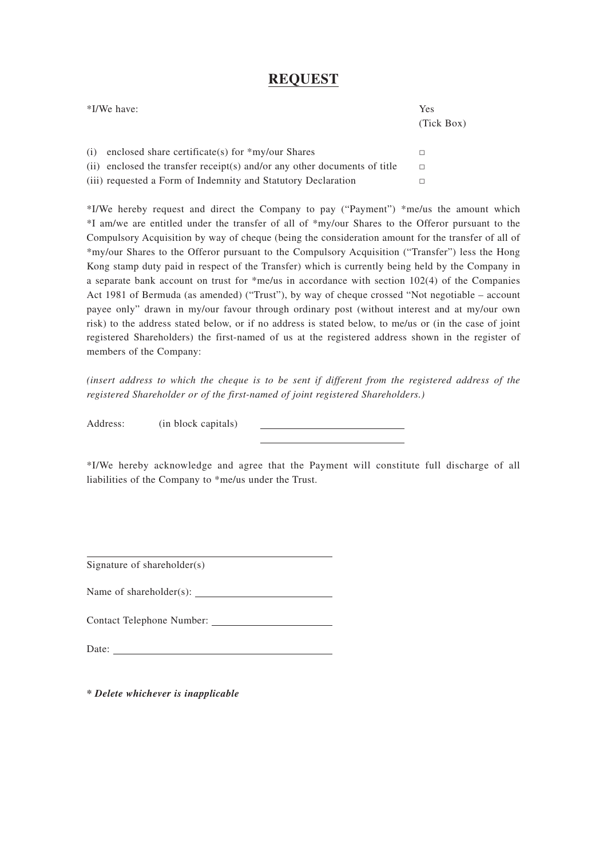# **REQUEST**

|     | *I/We have:                                                               | <b>Yes</b><br>(Tick Box) |
|-----|---------------------------------------------------------------------------|--------------------------|
| (i) | enclosed share certificate(s) for $*$ my/our Shares                       | П                        |
|     | (ii) enclosed the transfer receipt(s) and/or any other documents of title | П                        |
|     | (iii) requested a Form of Indemnity and Statutory Declaration             |                          |

\*I/We hereby request and direct the Company to pay ("Payment") \*me/us the amount which \*I am/we are entitled under the transfer of all of \*my/our Shares to the Offeror pursuant to the Compulsory Acquisition by way of cheque (being the consideration amount for the transfer of all of \*my/our Shares to the Offeror pursuant to the Compulsory Acquisition ("Transfer") less the Hong Kong stamp duty paid in respect of the Transfer) which is currently being held by the Company in a separate bank account on trust for \*me/us in accordance with section 102(4) of the Companies Act 1981 of Bermuda (as amended) ("Trust"), by way of cheque crossed "Not negotiable – account payee only" drawn in my/our favour through ordinary post (without interest and at my/our own risk) to the address stated below, or if no address is stated below, to me/us or (in the case of joint registered Shareholders) the first-named of us at the registered address shown in the register of members of the Company:

*(insert address to which the cheque is to be sent if different from the registered address of the registered Shareholder or of the first-named of joint registered Shareholders.)*

Address: (in block capitals)

\*I/We hereby acknowledge and agree that the Payment will constitute full discharge of all liabilities of the Company to \*me/us under the Trust.

Signature of shareholder(s)

Name of shareholder(s):

Contact Telephone Number:

Date:

*\* Delete whichever is inapplicable*